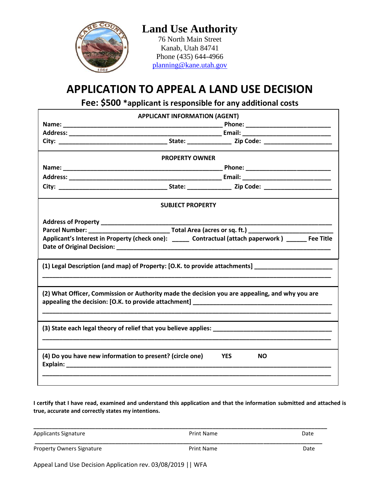

## **Land Use Authority** 76 North Main Street Kanab, Utah 84741

Phone (435) 644-4966 [planning@kane.utah.gov](mailto:planning@kane.utah.gov)

# **APPLICATION TO APPEAL A LAND USE DECISION**

**Fee: \$500 \*applicant is responsible for any additional costs**

| <b>APPLICANT INFORMATION (AGENT)</b>                                                                |  |  |  |  |
|-----------------------------------------------------------------------------------------------------|--|--|--|--|
|                                                                                                     |  |  |  |  |
|                                                                                                     |  |  |  |  |
|                                                                                                     |  |  |  |  |
| <b>PROPERTY OWNER</b>                                                                               |  |  |  |  |
|                                                                                                     |  |  |  |  |
|                                                                                                     |  |  |  |  |
|                                                                                                     |  |  |  |  |
| <b>SUBJECT PROPERTY</b>                                                                             |  |  |  |  |
| Applicant's Interest in Property (check one): _____ Contractual (attach paperwork) _____ Fee Title  |  |  |  |  |
| (1) Legal Description (and map) of Property: [O.K. to provide attachments] ________________________ |  |  |  |  |
| (2) What Officer, Commission or Authority made the decision you are appealing, and why you are      |  |  |  |  |
|                                                                                                     |  |  |  |  |
| (4) Do you have new information to present? (circle one)<br><b>YES</b><br><b>NO</b>                 |  |  |  |  |
|                                                                                                     |  |  |  |  |

**I certify that I have read, examined and understand this application and that the information submitted and attached is true, accurate and correctly states my intentions.**

| <b>Applicants Signature</b>      | Print Name | Date |
|----------------------------------|------------|------|
| <b>Property Owners Signature</b> | Print Name | Date |

Appeal Land Use Decision Application rev. 03/08/2019 || WFA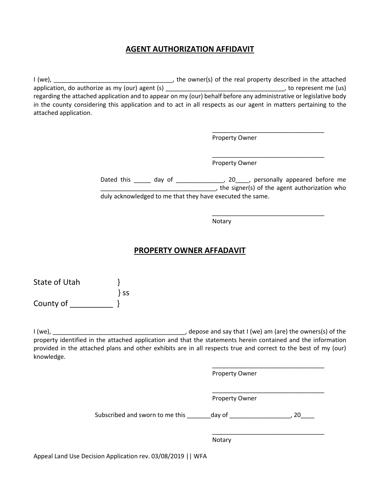### **AGENT AUTHORIZATION AFFIDAVIT**

I (we), \_\_\_\_\_\_\_\_\_\_\_\_\_\_\_\_\_\_\_\_\_\_\_\_\_\_\_\_\_\_\_\_\_\_\_, the owner(s) of the real property described in the attached application, do authorize as my (our) agent (s) \_\_\_\_\_\_\_\_\_\_\_\_\_\_\_\_\_\_\_\_\_\_\_\_\_\_\_\_\_\_\_\_\_\_\_, to represent me (us) regarding the attached application and to appear on my (our) behalf before any administrative or legislative body in the county considering this application and to act in all respects as our agent in matters pertaining to the attached application.

Property Owner

\_\_\_\_\_\_\_\_\_\_\_\_\_\_\_\_\_\_\_\_\_\_\_\_\_\_\_\_\_\_\_\_\_

\_\_\_\_\_\_\_\_\_\_\_\_\_\_\_\_\_\_\_\_\_\_\_\_\_\_\_\_\_\_\_\_\_

\_\_\_\_\_\_\_\_\_\_\_\_\_\_\_\_\_\_\_\_\_\_\_\_\_\_\_\_\_\_\_\_\_

Property Owner

Dated this \_\_\_\_\_\_ day of \_\_\_\_\_\_\_\_\_\_\_\_\_\_\_\_, 20\_\_\_\_, personally appeared before me **EXECUTE:** The signer(s) of the agent authorization who duly acknowledged to me that they have executed the same.

Notary

#### **PROPERTY OWNER AFFADAVIT**

| State of Utah |         |
|---------------|---------|
|               | $\}$ SS |
| County of     |         |

I (we), \_\_\_\_\_\_\_\_\_\_\_\_\_\_\_\_\_\_\_\_\_\_\_\_\_\_\_\_\_\_\_\_\_\_\_\_\_\_\_, depose and say that I (we) am (are) the owners(s) of the property identified in the attached application and that the statements herein contained and the information provided in the attached plans and other exhibits are in all respects true and correct to the best of my (our) knowledge.

\_\_\_\_\_\_\_\_\_\_\_\_\_\_\_\_\_\_\_\_\_\_\_\_\_\_\_\_\_\_\_\_\_ Property Owner \_\_\_\_\_\_\_\_\_\_\_\_\_\_\_\_\_\_\_\_\_\_\_\_\_\_\_\_\_\_\_\_\_ Property Owner Subscribed and sworn to me this day of the state of the state of the state of the state of the state of the state of the state of the state of the state of the state of the state of the state of the state of the state of t \_\_\_\_\_\_\_\_\_\_\_\_\_\_\_\_\_\_\_\_\_\_\_\_\_\_\_\_\_\_\_\_\_

Notary